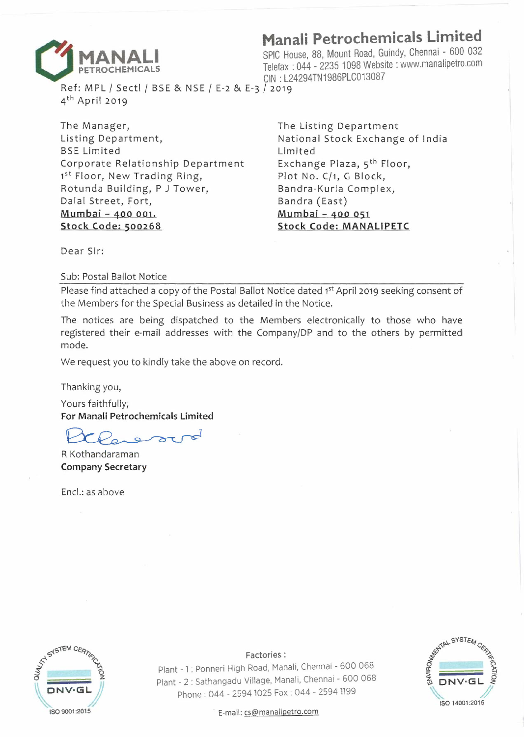

R f Mp L *I* s I *I* GIN : L24294TN1986PLC013087 ef: MPL / Sectl / BSE & NSE / E-2 & E-3 / 2019 4th April 2019

The Manager, Listing Department, BSE Limited Corporate Relationship Department 1st Floor, New Trading Ring, Rotunda Building, P J Tower, Dalal Street, Fort, **Mumbai - 400 001. Stock Code: 500268** 

**MANALI**<br>**PETROCHEMICALS**<br>**PETROCHEMICALS**<br>**PETROCHEMICALS**<br>**ON : L24294TN1986PLC013087**<br>**Ref: MPL / Sect! / BSE & NSE / E-2 & E-3 / 2019**<br>**Ref: MPL / Sect! / BSE & NSE / E-2 & E-3 / 2019 MANALI SPIC House, 88, Mount Road, Guindy, Chennai - 600 032 Telefax : 044 - 2235 1098 Website : www.manalipetro.com<br>CIN : L24294TN1986PLC013087** 

> The Listing Department National Stock Exchange of India Limited Exchange Plaza, 5<sup>th</sup> Floor, Plot No. C/1, G Block, Bandra-Kurla Complex, Bandra (East) **Mumbai - 400 051 Stock Code: MANALIPETC**

Dear Sir:

Sub: Postal Ballot Notice

Please find attached a copy of the Postal Ballot Notice dated 1st April 2019 seeking consent of the Members for the Special Business as detailed in the Notice.

The notices are being dispatched to the Members electronically to those who have registered their e-mail addresses with the Company/DP and to the others by permitted mode.

We request you to kindly take the above on record.

Thanking you,

Yours faithfully; **For Manali Petrochemicals Limited** 

R Kothandaraman **Company Secretary** 

Encl.: as above



Factories:

Plant - 1 : Ponneri High Road, Manali, Chennai - 600 068 Plant - 2 : Sathangadu Village, Manali, Chennai - 600 068 Phone : 044 - 2594 1025 Fax : 044 - 2594 1199



ISO 9001:2015 **· E-mail: cs@manalipetro.com**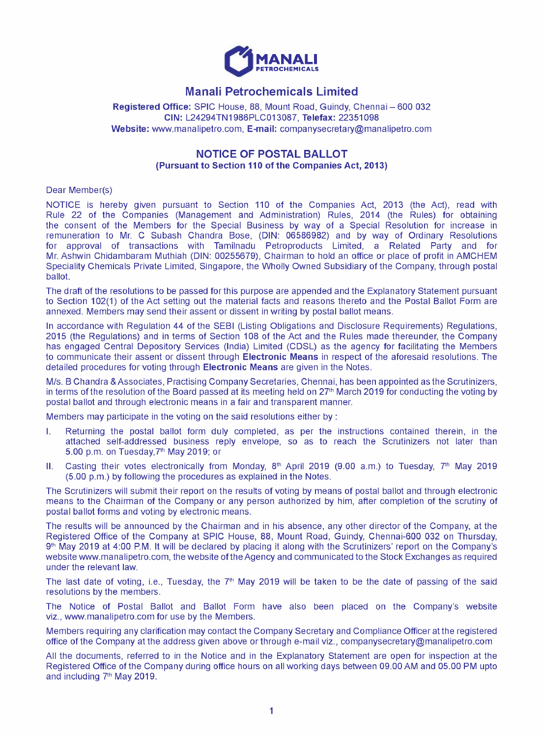

# **Manali Petrochemicals Limited**

Registered Office: SPIC House, 88, Mount Road, Guindy, Chennai - 600 032 **CIN:** L24294TN1986PLC013087, **Telefax:** 22351098 **Website:** www.manalipetro.com, **E-mail:** companysecretary@manalipetro.com

## **NOTICE OF POSTAL BALLOT (Pursuant to Section 110 of the Companies Act, 2013)**

Dear Member(s)

NOTICE is hereby given pursuant to Section 110 of the Companies Act, 2013 (the Act), read with Rule 22 of the Companies (Management and Administration) Rules, 2014 (the Rules) for obtaining the consent of the Members for the Special Business by way of a Special Resolution for increase in remuneration to Mr. C Subash Chandra Bose, (DIN: 06586982) and by way of Ordinary Resolutions for approval of transactions with Tamilnadu Petroproducts Limited, a Related Party and for Mr. Ashwin Chidambaram Muthiah (DIN: 00255679), Chairman to hold an office or place of profit in AMCHEM Speciality Chemicals Private Limited, Singapore, the Wholly Owned Subsidiary of the Company, through postal ballot.

The draft of the resolutions to be passed for this purpose are appended and the Explanatory Statement pursuant to Section 102(1) of the Act setting out the material facts and reasons thereto and the Postal Ballot Form are annexed. Members may send their assent or dissent in writing by postal ballot means.

In accordance with Regulation 44 of the SEBI (Listing Obligations and Disclosure Requirements) Regulations, 2015 (the Regulations) and in terms of Section 108 of the Act and the Rules made thereunder, the Company has engaged Central Depository Services (India) Limited (CDSL) as the agency for facilitating the Members to communicate their assent or dissent through **Electronic Means** in respect of the aforesaid resolutions. The detailed procedures for voting through **Electronic Means** are given in the Notes.

M/s. B Chandra &Associates, Practising Company Secretaries, Chennai, has been appointed as the Scrutinizers, in terms of the resolution of the Board passed at its meeting held on  $27<sup>th</sup>$  March 2019 for conducting the voting by postal ballot and through electronic means in a fair and transparent manner.

Members may participate in the voting on the said resolutions either by :

- I. Returning the postal ballot form duly completed, as per the instructions contained therein, in the attached self-addressed business reply envelope, so as to reach the Scrutinizers not later than 5.00 p.m. on Tuesday,  $7<sup>th</sup>$  May 2019; or
- II. Casting their votes electronically from Monday,  $8<sup>th</sup>$  April 2019 (9.00 a.m.) to Tuesday,  $7<sup>th</sup>$  May 2019 (5.00 p.m.) by following the procedures as explained in the Notes.

The Scrutinizers will submit their report on the results of voting by means of postal ballot and through electronic means to the Chairman of the Company or any person authorized by him, after completion of the scrutiny of postal ballot forms and voting by electronic means.

The results will be announced by the Chairman and in his absence, any other director of the Company, at the Registered Office of the Company at SPIC House, 88, Mount Road, Guindy, Chennai-600 032 on Thursday, 9<sup>th</sup> May 2019 at 4:00 P.M. It will be declared by placing it along with the Scrutinizers' report on the Company's website www.manalipetro.com, the website of the Agency and communicated to the Stock Exchanges as required under the relevant law.

The last date of voting, i.e., Tuesday, the  $7<sup>th</sup>$  May 2019 will be taken to be the date of passing of the said resolutions by the members.

The Notice of Postal Ballot and Ballot Form have also been placed on the Company's website viz., www.manalipetro.com for use by the Members.

Members requiring any clarification may contact the Company Secretary and Compliance Officer at the registered office of the Company at the address given above or through e-mail viz., companysecretary@manalipetro.com

All the documents, referred to in the Notice and in the Explanatory Statement are open for inspection at the Registered Office of the Company during office hours on all working days between 09.00 AM and 05.00 PM upto and including 7<sup>th</sup> May 2019.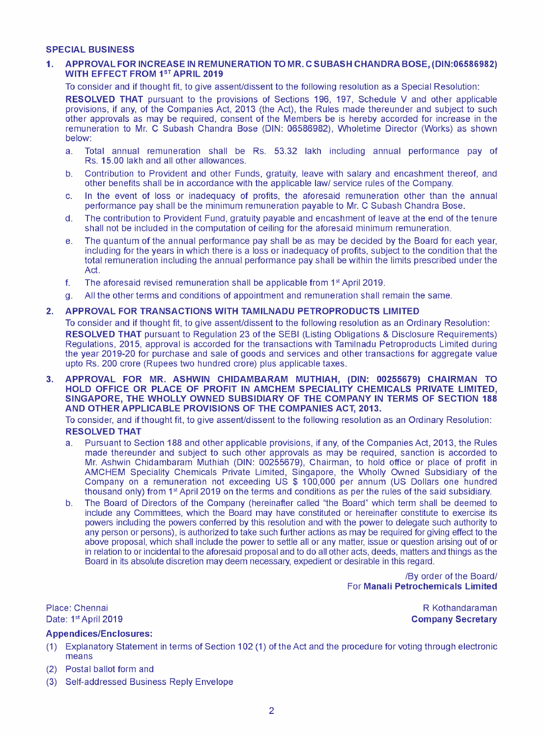#### **SPECIAL BUSINESS**

#### **1. APPROVAL FOR INCREASE IN REMUNERATION TO MR. C SUBASH CHANDRA BOSE, (DIN:06586982) WITH EFFECT FROM 15T APRIL 2019**

To consider and if thought fit, to give assent/dissent to the following resolution as a Special Resolution:

**RESOLVED THAT** pursuant to the provisions of Sections 196, 197, Schedule V and other applicable provisions, if any, of the Companies Act, 2013 (the Act), the Rules made thereunder and subject to such other approvals as may be required, consent of the Members be is hereby accorded for increase in the remuneration to Mr. C Subash Chandra Bose (DIN: 06586982), Wholetime Director (Works) as shown below:

- a. Total annual remuneration shall be Rs. 53.32 lakh including annual performance pay of Rs. 15.00 lakh and all other allowances.
- b. Contribution to Provident and other Funds, gratuity, leave with salary and encashment thereof, and other benefits shall be in accordance with the applicable law/ service rules of the Company.
- c. In the event of loss or inadequacy of profits, the aforesaid remuneration other than the annual performance pay shall be the minimum remuneration payable to Mr. C Subash Chandra Bose.
- d. The contribution to Provident Fund, gratuity payable and encashment of leave at the end of the tenure shall not be included in the computation of ceiling for the aforesaid minimum remuneration.
- e. The quantum of the annual performance pay shall be as may be decided by the Board for each year, including for the years in which there is a loss or inadequacy of profits, subject to the condition that the total remuneration including the annual performance pay shall be within the limits prescribed under the Act.
- f. The aforesaid revised remuneration shall be applicable from  $1<sup>st</sup>$  April 2019.
- g. All the other terms and conditions of appointment and remuneration shall remain the same.

## **2. APPROVAL FOR TRANSACTIONS WITH TAMILNADU PETROPRODUCTS LIMITED**

To consider and if thought fit, to give assent/dissent to the following resolution as an Ordinary Resolution: **RESOLVED THAT** pursuant to Regulation 23 of the SEBI (Listing Obligations & Disclosure Requirements) Regulations, 2015, approval is accorded for the transactions with Tamilnadu Petroproducts Limited during the year 2019-20 for purchase and sale of goods and services and other transactions for aggregate value upto Rs. 200 crore (Rupees two hundred crore) plus applicable taxes.

**3. APPROVAL FOR MR. ASHWIN CHIDAMBARAM MUTHIAH, (DIN: 00255679) CHAIRMAN TO HOLD OFFICE OR PLACE OF PROFIT IN AMCHEM SPECIALITY CHEMICALS PRIVATE LIMITED, SINGAPORE, THE WHOLLY OWNED SUBSIDIARY OF THE COMPANY IN TERMS OF SECTION 188 AND OTHER APPLICABLE PROVISIONS OF THE COMPANIES ACT, 2013.** 

To consider, and if thought fit, to give assent/dissent to the following resolution as an Ordinary Resolution: **RESOLVED THAT** 

- a. Pursuant to Section 188 and other applicable provisions, if any, of the Companies Act, 2013, the Rules made thereunder and subject to such other approvals as may be required, sanction is accorded to Mr. Ashwin Chidambaram Muthiah (DIN: 00255679), Chairman, to hold office or place of profit in AMCHEM Speciality Chemicals Private Limited, Singapore, the Wholly Owned Subsidiary of the Company on a remuneration not exceeding US \$ 100,000 per annum (US Dollars one hundred thousand only) from 1st April 2019 on the terms and conditions as per the rules of the said subsidiary.
- b. The Board of Directors of the Company (hereinafter called "the Board" which term shall be deemed to include any Committees, which the Board may have constituted or hereinafter constitute to exercise its powers including the powers conferred by this resolution and with the power to delegate such authority to any person or persons), is authorized to take such further actions as may be required for giving effect to the above proposal, which shall include the power to settle all or any matter, issue or question arising out of or in relation to or incidental to the aforesaid proposal and to do all other acts, deeds, matters and things as the Board in its absolute discretion may deem necessary, expedient or desirable in this regard.

/By order of the Board/ For **Manali Petrochemicals Limited** 

Place: Chennai Date: 1st April 2019

#### **Appendices/Enclosures:**

- (1) Explanatory Statement in terms of Section 102 (1) of the Act and the procedure for voting through electronic means
- (2) Postal ballot form and
- (3) Self-addressed Business Reply Envelope

R Kothandaraman **Company Secretary**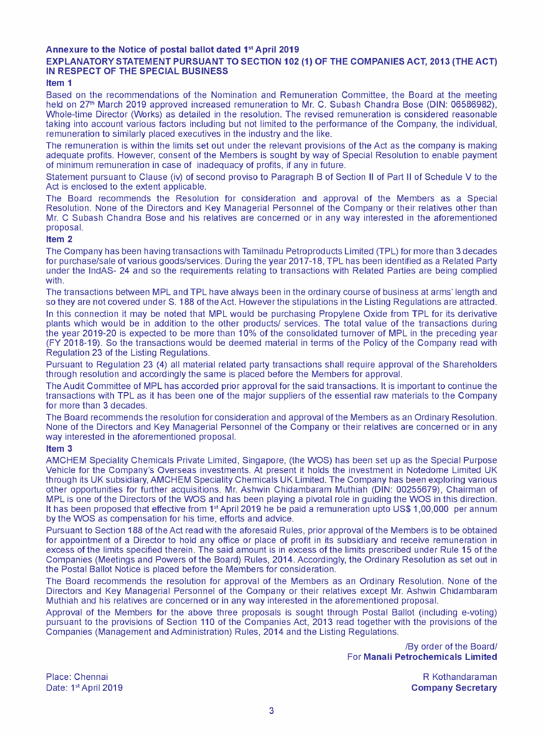## **Annexure to the Notice of postal ballot dated 1"' April 2019**

## **EXPLANATORY STATEMENT PURSUANT TO SECTION 102 (1) OF THE COMPANIES ACT, 2013 (THE ACT) IN RESPECT OF THE SPECIAL BUSINESS**

#### **Item 1**

Based on the recommendations of the Nomination and Remuneration Committee, the Board at the meeting held on 27'h March 2019 approved increased remuneration to Mr. C. Subash Chandra Bose (DIN: 06586982), Whole-time Director (Works) as detailed in the resolution. The revised remuneration is considered reasonable taking into account various factors including but not limited to the performance of the Company, the individual, remuneration to similarly placed executives in the industry and the like.

The remuneration is within the limits set out under the relevant provisions of the Act as the company is making adequate profits. However, consent of the Members is sought by way of Special Resolution to enable payment of minimum remuneration in case of inadequacy of profits, if any in future.

Statement pursuant to Clause (iv) of second proviso to Paragraph B of Section II of Part II of Schedule V to the Act is enclosed to the extent applicable.

The Board recommends the Resolution for consideration and approval of the Members as a Special Resolution. None of the Directors and Key Managerial Personnel of the Company or their relatives other than Mr. C Subash Chandra Bose and his relatives are concerned or in any way interested in the aforementioned proposal.

#### **Item 2**

The Company has been having transactions with Tamilnadu Petroproducts Limited (TPL) for more than 3 decades for purchase/sale of various goods/services. During the year 2017-18, TPL has been identified as a Related Party under the lndAS- 24 and so the requirements relating to transactions with Related Parties are being complied with.

The transactions between MPL and TPL have always been in the ordinary course of business at arms' length and so they are not covered under S. 188 of the Act. However the stipulations in the Listing Regulations are attracted.

In this connection it may be noted that MPL would be purchasing Propylene Oxide from TPL for its derivative plants which would be in addition to the other products/ services. The total value of the transactions during the year 2019-20 is expected to be more than 10% of the consolidated turnover of MPL in the preceding year (FY 2018-19). So the transactions would be deemed material in terms of the Policy of the Company read with Regulation 23 of the Listing Regulations.

Pursuant to Regulation 23 (4) all material related party transactions shall require approval of the Shareholders through resolution and accordingly the same is placed before the Members for approval.

The Audit Committee of MPL has accorded prior approval for the said transactions. It is important to continue the transactions with TPL as it has been one of the major suppliers of the essential raw materials to the Company for more than 3 decades.

The Board recommends the resolution for consideration and approval of the Members as an Ordinary Resolution. None of the Directors and Key Managerial Personnel of the Company or their relatives are concerned or in any way interested in the aforementioned proposal.

#### **Item 3**

AMCHEM Speciality Chemicals Private Limited, Singapore, (the WOS) has been set up as the Special Purpose Vehicle for the Company's Overseas investments. At present it holds the investment in Notedome Limited UK through its UK subsidiary, AMCHEM Speciality Chemicals UK Limited. The Company has been exploring various other opportunities for further acquisitions. Mr. Ashwin Chidambaram Muthiah (DIN: 00255679), Chairman of MPL is one of the Directors of the WOS and has been playing a pivotal role in guiding the WOS in this direction. It has been proposed that effective from  $1<sup>st</sup>$  April 2019 he be paid a remuneration upto US\$ 1,00,000 per annum by the WOS as compensation for his time, efforts and advice.

Pursuant to Section 188 of the Act read with the aforesaid Rules, prior approval of the Members is to be obtained for appointment of a Director to hold any office or place of profit in its subsidiary and receive remuneration in excess of the limits specified therein. The said amount is in excess of the limits prescribed under Rule 15 of the Companies (Meetings and Powers of the Board) Rules, 2014. Accordingly, the Ordinary Resolution as set out in the Postal Ballot Notice is placed before the Members for consideration.

The Board recommends the resolution for approval of the Members as an Ordinary Resolution. None of the Directors and Key Managerial Personnel of the Company or their relatives except Mr. Ashwin Chidambaram Muthiah and his relatives are concerned or in any way interested in the aforementioned proposal.

Approval of the Members for the above three proposals is sought through Postal Ballot (including e-voting) pursuant to the provisions of Section 110 of the Companies Act, 2013 read together with the provisions of the Companies (Management and Administration) Rules, 2014 and the Listing Regulations.

> /By order of the Board/ For **Manali Petrochemicals Limited**

Place: Chennai Date: 1st April 2019

R Kothandaraman **Company Secretary**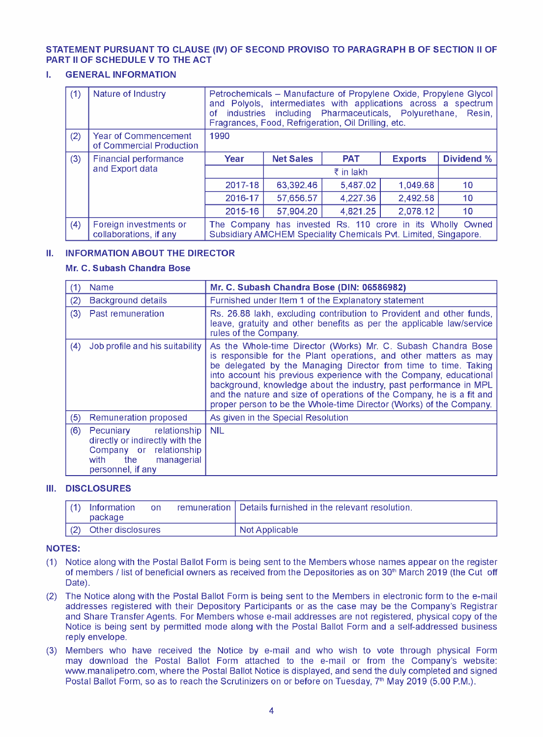## **STATEMENT PURSUANT TO CLAUSE (IV) OF SECOND PROVISO TO PARAGRAPH B OF SECTION II OF PART II OF SCHEDULE V TO THE ACT**

## **I. GENERAL INFORMATION**

| (1) | Nature of Industry                               | Petrochemicals – Manufacture of Propylene Oxide, Propylene Glycol<br>and Polyols, intermediates with applications across a spectrum<br>including Pharmaceuticals, Polyurethane, Resin,<br>industries<br>οf<br>Fragrances, Food, Refrigeration, Oil Drilling, etc. |                  |            |                |                 |
|-----|--------------------------------------------------|-------------------------------------------------------------------------------------------------------------------------------------------------------------------------------------------------------------------------------------------------------------------|------------------|------------|----------------|-----------------|
| (2) | Year of Commencement<br>of Commercial Production | 1990                                                                                                                                                                                                                                                              |                  |            |                |                 |
| (3) | Financial performance<br>and Export data         | Year                                                                                                                                                                                                                                                              | <b>Net Sales</b> | <b>PAT</b> | <b>Exports</b> | Dividend %      |
|     |                                                  | $\bar{z}$ in lakh                                                                                                                                                                                                                                                 |                  |            |                |                 |
|     |                                                  | 2017-18                                                                                                                                                                                                                                                           | 63.392.46        | 5.487.02   | 1.049.68       | 10              |
|     |                                                  | 2016-17                                                                                                                                                                                                                                                           | 57,656.57        | 4.227.36   | 2,492.58       | 10              |
|     |                                                  | 2015-16                                                                                                                                                                                                                                                           | 57,904.20        | 4,821.25   | 2.078.12       | 10 <sup>1</sup> |
| (4) | Foreign investments or<br>collaborations, if any | The Company has invested Rs. 110 crore in its Wholly Owned<br>Subsidiary AMCHEM Speciality Chemicals Pvt. Limited, Singapore.                                                                                                                                     |                  |            |                |                 |

## **II. INFORMATION ABOUT THE DIRECTOR**

## **Mr. C. Subash Chandra Bose**

| (1) | <b>Name</b>                                                                                                                            | Mr. C. Subash Chandra Bose (DIN: 06586982)                                                                                                                                                                                                                                                                                                                                                                                                                                                       |  |  |
|-----|----------------------------------------------------------------------------------------------------------------------------------------|--------------------------------------------------------------------------------------------------------------------------------------------------------------------------------------------------------------------------------------------------------------------------------------------------------------------------------------------------------------------------------------------------------------------------------------------------------------------------------------------------|--|--|
| (2) | <b>Background details</b>                                                                                                              | Furnished under Item 1 of the Explanatory statement                                                                                                                                                                                                                                                                                                                                                                                                                                              |  |  |
| (3) | Past remuneration                                                                                                                      | Rs. 26.88 lakh, excluding contribution to Provident and other funds,<br>leave, gratuity and other benefits as per the applicable law/service<br>rules of the Company.                                                                                                                                                                                                                                                                                                                            |  |  |
| (4) | Job profile and his suitability                                                                                                        | As the Whole-time Director (Works) Mr. C. Subash Chandra Bose<br>is responsible for the Plant operations, and other matters as may<br>be delegated by the Managing Director from time to time. Taking<br>into account his previous experience with the Company, educational<br>background, knowledge about the industry, past performance in MPL<br>and the nature and size of operations of the Company, he is a fit and<br>proper person to be the Whole-time Director (Works) of the Company. |  |  |
| (5) | Remuneration proposed                                                                                                                  | As given in the Special Resolution                                                                                                                                                                                                                                                                                                                                                                                                                                                               |  |  |
| (6) | Pecuniary relationship<br>directly or indirectly with the<br>Company or relationship<br>the<br>managerial<br>with<br>personnel, if any | <b>NIL</b>                                                                                                                                                                                                                                                                                                                                                                                                                                                                                       |  |  |

## **Ill. DISCLOSURES**

| $\vert$ (1) | Information<br>package | on | remuneration   Details furnished in the relevant resolution. |
|-------------|------------------------|----|--------------------------------------------------------------|
| $\vert$ (2) | Other disclosures      |    | Not Applicable                                               |

## **NOTES:**

- **(1)** Notice along with the Postal Ballot Form is being sent to the Members whose names appear on the register of members *I* list of beneficial owners as received from the Depositories as on 30'h March 2019 (the Cut off Date).
- (2) The Notice along with the Postal Ballot Form is being sent to the Members in electronic form to the e-mail addresses registered with their Depository Participants or as the case may be the Company's Registrar and Share Transfer Agents. For Members whose e-mail addresses are not registered, physical copy of the Notice is being sent by permitted mode along with the Postal Ballot Form and a self-addressed business reply envelope.
- (3) Members who have received the Notice by e-mail and who wish to vote through physical Form may download the Postal Ballot Form attached to the e-mail or from the Company's website: www.manalipetro.com, where the Postal Ballot Notice is displayed, and send the duly completed and signed Postal Ballot Form, so as to reach the Scrutinizers on or before on Tuesday, 7<sup>th</sup> May 2019 (5.00 P.M.).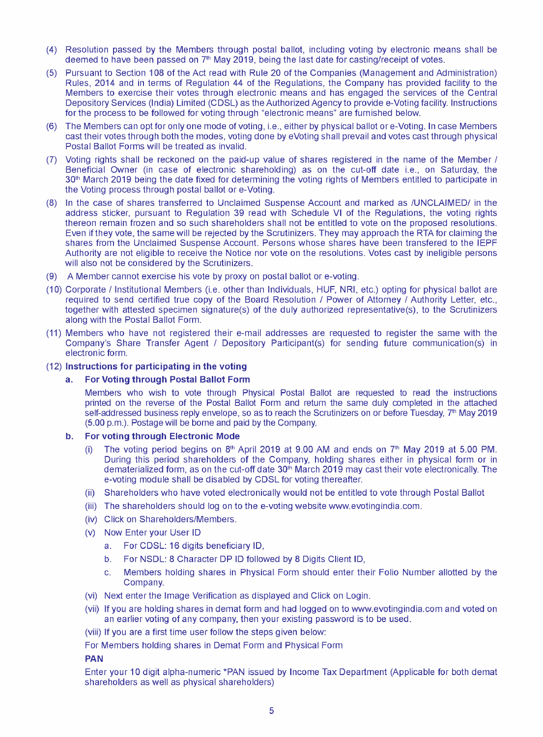- (4) Resolution passed by the Members through postal ballot, including voting by electronic means shall be deemed to have been passed on  $7<sup>th</sup>$  May 2019, being the last date for casting/receipt of votes.
- (5) Pursuant to Section 108 of the Act read with Rule 20 of the Companies (Management and Administration) Rules, 2014 and in terms of Regulation 44 of the Regulations, the Company has provided facility to the Members to exercise their votes through electronic means and has engaged the services of the Central Depository Services (India) Limited (CDSL) as the Authorized Agency to provide e-Voting facility. Instructions for the process to be followed for voting through "electronic means" are furnished below.
- (6) The Members can opt for only one mode of voting, i.e., either by physical ballot ore-Voting. In case Members cast their votes through both the modes, voting done by eVoting shall prevail and votes cast through physical Postal Ballot Forms will be treated as invalid.
- (7) Voting rights shall be reckoned on the paid-up value of shares registered in the name of the Member *I*  Beneficial Owner (in case of electronic shareholding) as on the cut-off date i.e., on Saturday, the 30<sup>th</sup> March 2019 being the date fixed for determining the voting rights of Members entitled to participate in the Voting process through postal ballot or e-Voting.
- (8) In the case of shares transferred to Unclaimed Suspense Account and marked as /UNCLAIMED/ in the address sticker, pursuant to Regulation 39 read with Schedule VI of the Regulations, the voting rights thereon remain frozen and so such shareholders shall not be entitled to vote on the proposed resolutions. Even if they vote, the same will be rejected by the Scrutinizers. They may approach the RTA for claiming the shares from the Unclaimed Suspense Account. Persons whose shares have been transfered to the IEPF Authority are not eligible to receive the Notice nor vote on the resolutions. Votes cast by ineligible persons will also not be considered by the Scrutinizers.
- (9) A Member cannot exercise his vote by proxy on postal ballot ore-voting.
- (10) Corporate *I* Institutional Members (i.e. other than Individuals, HUF, NRI, etc.) opting for physical ballot are required to send certified true copy of the Board Resolution *I* Power of Attorney *I* Authority Letter, etc., together with attested specimen signature(s) of the duly authorized representative(s), to the Scrutinizers along with the Postal Ballot Form.
- (11) Members who have not registered their e-mail addresses are requested to register the same with the Company's Share Transfer Agent *I* Depository Participant(s) for sending future communication(s) in electronic form.
- (12) **Instructions for participating in the voting**

### **a. For Voting through Postal Ballot Form**

Members who wish to vote through Physical Postal Ballot are requested to read the instructions printed on the reverse of the Postal Ballot Form and return the same duly completed in the attached self-addressed business reply envelope, so as to reach the Scrutinizers on or before Tuesday, 7<sup>th</sup> May 2019 (5.00 p.m.). Postage will be borne and paid by the Company.

#### **b. For voting through Electronic Mode**

- (i) The voting period begins on 8th April 2019 at 9.00 AM and ends on *t»* May 2019 at 5.00 PM. During this period shareholders of the Company, holding shares either in physical form or in dematerialized form, as on the cut-off date 30th March 2019 may cast their vote electronically. The e-voting module shall be disabled by CDSL for voting thereafter.
- (ii) Shareholders who have voted electronically would not be entitled to vote through Postal Ballot
- (iii) The shareholders should log on to the e-voting website www.evotingindia.com.
- (iv) Click on Shareholders/Members.
- (v) Now Enter your User ID
	- a. For CDSL: 16 digits beneficiary ID,
	- b. For NSDL: 8 Character DP ID followed by 8 Digits Client ID,
	- c. Members holding shares in Physical Form should enter their Folio Number allotted by the Company.
- (vi) Next enter the Image Verification as displayed and Click on Login.
- (vii) If you are holding shares in demat form and had logged on to www.evotingindia.com and voted on an earlier voting of any company, then your existing password is to be used.
- (viii) If you are a first time user follow the steps given below:
- For Members holding shares in Demat Form and Physical Form

#### **PAN**

Enter your 10 digit alpha-numeric \*PAN issued by Income Tax Department (Applicable for both demat shareholders as well as physical shareholders)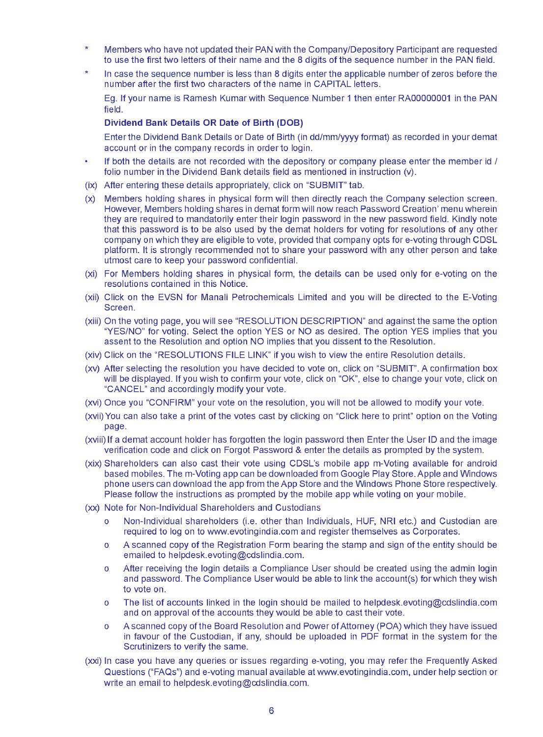- ÷ Members who have not updated their PAN with the Company/Depository Participant are requested to use the first two letters of their name and the 8 digits of the sequence number in the PAN field.
- In case the sequence number is less than 8 digits enter the applicable number of zeros before the number after the first two characters of the name in CAPITAL letters.

Eg. **If** your name is Ramesh Kumar with Sequence Number **1** then enter RA00000001 in the PAN field.

#### **Dividend Bank Details OR Date of Birth (DOB)**

Enter the Dividend Bank Details or Date of Birth (in dd/mm/yyyy format) as recorded in your demat account or in the company records in order to login.

- **If** both the details are not recorded with the depository or company please enter the member id *I*  folio number in the Dividend Bank details field as mentioned in instruction (v).
- (ix) After entering these details appropriately, click on "SUBMIT" tab.
- (x) Members holding shares in physical form will then directly reach the Company selection screen. However, Members holding shares in demat form will now reach Password Creation' menu wherein they are required to mandatorily enter their login password in the new password field. Kindly note that this password is to be also used by the demat holders for voting for resolutions of any other company on which they are eligible to vote, provided that company opts fore-voting through CDSL platform. It is strongly recommended not to share your password with any other person and take utmost care to keep your password confidential.
- (xi) For Members holding shares in physical form, the details can be used only for e-voting on the resolutions contained in this Notice.
- (xii) Click on the EVSN for Manali Petrochemicals Limited and you will be directed to the E-Voting Screen.
- (xiii) On the voting page, you will see "RESOLUTION DESCRIPTION" and against the same the option "YES/NO" for voting. Select the option YES or NO as desired. The option YES implies that you assent to the Resolution and option NO implies that you dissent to the Resolution.
- (xiv) Click on the "RESOLUTIONS FILE LINK" if you wish to view the entire Resolution details.
- (xv) After selecting the resolution you have decided to vote on, click on "SUBMIT". A confirmation box will be displayed. **If** you wish to confirm your vote, click on "OK", else to change your vote, click on "CANCEL" and accordingly modify your vote.
- (xvi) Once you "CONFIRM" your vote on the resolution, you will not be allowed to modify your vote.
- (xvii) You can also take a print of the votes cast by clicking on "Click here to print" option on the Voting page.
- (xviii) **If** a demat account holder has forgotten the login password then Enter the User ID and the image verification code and click on Forgot Password & enter the details as prompted by the system.
- (xix) Shareholders can also cast their vote using CDSL's mobile app m-Voting available for android based mobiles. Them-Voting app can be downloaded from Google Play Store. Apple and Windows phone users can download the app from the App Store and the Windows Phone Store respectively. Please follow the instructions as prompted by the mobile app while voting on your mobile.
- (xx) Note for Non-Individual Shareholders and Custodians
	- o Non-Individual shareholders (i.e. other than Individuals, HUF, NRI etc.) and Custodian are required to log on to www.evotingindia.com and register themselves as Corporates.
	- o A scanned copy of the Registration Form bearing the stamp and sign of the entity should be emailed to helpdesk.evoting@cdslindia.com.
	- o After receiving the login details a Compliance User should be created using the ad min login and password. The Compliance User would be able to link the account(s) for which they wish to vote on.
	- o The list of accounts linked in the login should be mailed to helpdesk.evoting@cdslindia.com and on approval of the accounts they would be able to cast their vote.
	- o A scanned copy of the Board Resolution and Power of Attorney (POA) which they have issued in favour of the Custodian, if any, should be uploaded in PDF format in the system for the Scrutinizers to verify the same.
- (xxi) In case you have any queries or issues regarding e-voting, you may refer the Frequently Asked Questions ("FAQs") and e-voting manual available at www.evotingindia.com, under help section or write an email to helpdesk.evoting@cdslindia.com.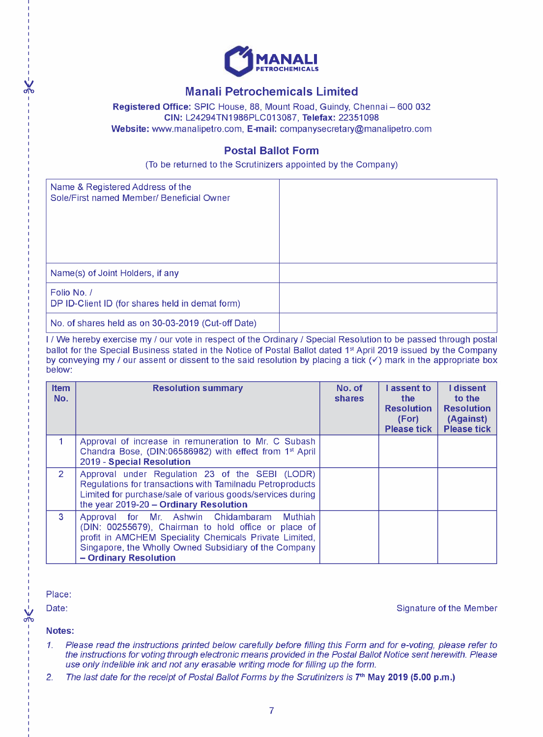

# **Manali Petrochemicals Limited**

**Registered Office:** SPIC House, 88, Mount Road, Guindy, Chennai - 600 032 **CIN:** L24294TN1986PLC013087, **Telefax:** 22351098 **Website:** www.manalipetro.com, **E-mail:** companysecretary@manalipetro.com

# **Postal Ballot Form**

(To be returned to the Scrutinizers appointed by the Company)

| Name & Registered Address of the<br>Sole/First named Member/ Beneficial Owner |  |
|-------------------------------------------------------------------------------|--|
| Name(s) of Joint Holders, if any                                              |  |
| Folio No. /<br>DP ID-Client ID (for shares held in demat form)                |  |
| No. of shares held as on 30-03-2019 (Cut-off Date)                            |  |

<sup>I</sup>*I* We hereby exercise my *I* our vote in respect of the Ordinary *I* Special Resolution to be passed through postal ballot for the Special Business stated in the Notice of Postal Ballot dated 1<sup>st</sup> April 2019 issued by the Company by conveying my *I* our assent or dissent to the said resolution by placing a tick  $(\checkmark)$  mark in the appropriate box below:

| <b>Item</b><br>No. | <b>Resolution summary</b>                                                                                                                                                                                                                          | No. of<br>shares | assent to<br>the<br><b>Resolution</b><br>(For)<br><b>Please tick</b> | <b>I</b> dissent<br>to the<br><b>Resolution</b><br>(Against)<br><b>Please tick</b> |
|--------------------|----------------------------------------------------------------------------------------------------------------------------------------------------------------------------------------------------------------------------------------------------|------------------|----------------------------------------------------------------------|------------------------------------------------------------------------------------|
|                    | Approval of increase in remuneration to Mr. C Subash<br>Chandra Bose, (DIN:06586982) with effect from 1 <sup>st</sup> April<br>2019 - Special Resolution                                                                                           |                  |                                                                      |                                                                                    |
| $\overline{2}$     | Approval under Regulation 23 of the SEBI (LODR)<br>Regulations for transactions with Tamilnadu Petroproducts<br>Limited for purchase/sale of various goods/services during<br>the year 2019-20 - Ordinary Resolution                               |                  |                                                                      |                                                                                    |
| 3                  | Approval for Mr. Ashwin Chidambaram<br>Muthiah<br>(DIN: 00255679), Chairman to hold office or place of<br>profit in AMCHEM Speciality Chemicals Private Limited,<br>Singapore, the Wholly Owned Subsidiary of the Company<br>- Ordinary Resolution |                  |                                                                      |                                                                                    |

Place:

*v* 

Date: Signature of the Member

**Notes:** 

- *1. Please read the instructions printed below carefully before filling this Form and for e-voting, please refer to the instructions for voting through electronic means provided in the Postal Ballot Notice sent herewith. Please use only indelible ink and not any erasable writing mode for filling up the form.*
- 2. The last date for the receipt of Postal Ballot Forms by the Scrutinizers is 7<sup>th</sup> **May 2019 (5.00 p.m.)**